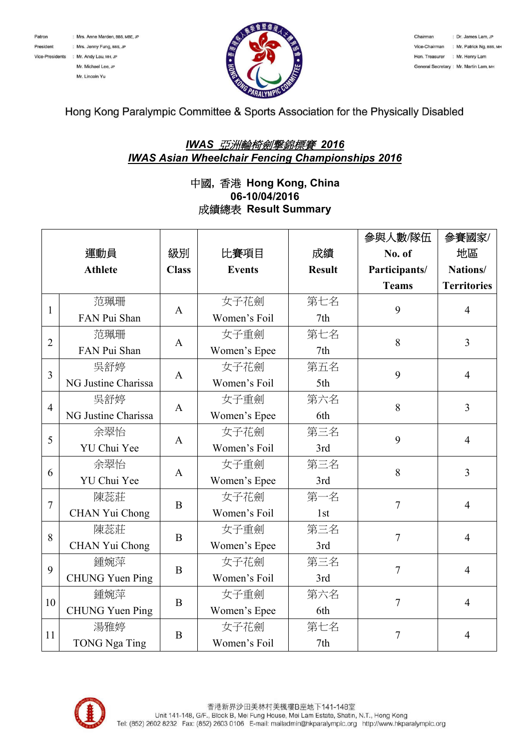



Hong Kong Paralympic Committee & Sports Association for the Physically Disabled

## *IWAS* 亞洲輪椅劍撃錦標賽 *2016 IWAS Asian Wheelchair Fencing Championships 2016*

## 中國**,** 香港 **Hong Kong, China 06-10/04/2016** 成績總表 **Result Summary**

|                |                        |              |               |               | 參與人數/隊伍        | 參賽國家/              |
|----------------|------------------------|--------------|---------------|---------------|----------------|--------------------|
|                | 運動員                    | 級別           | 比賽項目          | 成績            | No. of         | 地區                 |
|                | <b>Athlete</b>         | <b>Class</b> | <b>Events</b> | <b>Result</b> | Participants/  | Nations/           |
|                |                        |              |               |               | <b>Teams</b>   | <b>Territories</b> |
| $\mathbf{1}$   | 范珮珊                    | A            | 女子花劍          | 第七名           | 9              | $\overline{4}$     |
|                | FAN Pui Shan           |              | Women's Foil  | 7th           |                |                    |
| $\overline{2}$ | 范珮珊                    | A            | 女子重劍          | 第七名           | 8              | $\overline{3}$     |
|                | FAN Pui Shan           |              | Women's Epee  | 7th           |                |                    |
| 3              | 吳舒婷                    | A            | 女子花劍          | 第五名           | 9              | $\overline{4}$     |
|                | NG Justine Charissa    |              | Women's Foil  | 5th           |                |                    |
| $\overline{4}$ | 吳舒婷                    | $\mathbf{A}$ | 女子重劍          | 第六名           | 8              | $\overline{3}$     |
|                | NG Justine Charissa    |              | Women's Epee  | 6th           |                |                    |
| 5              | 余翠怡                    | A            | 女子花劍          | 第三名           | 9              | $\overline{4}$     |
|                | YU Chui Yee            |              | Women's Foil  | 3rd           |                |                    |
| 6              | 余翠怡                    | A            | 女子重劍          | 第三名           | 8              | $\overline{3}$     |
|                | YU Chui Yee            |              | Women's Epee  | 3rd           |                |                    |
| $\overline{7}$ | 陳蕊莊                    | B            | 女子花劍          | 第一名           | $\overline{7}$ | $\overline{4}$     |
|                | CHAN Yui Chong         |              | Women's Foil  | 1st           |                |                    |
| 8              | 陳蕊莊                    | B            | 女子重劍          | 第三名           | $\overline{7}$ | $\overline{4}$     |
|                | CHAN Yui Chong         |              | Women's Epee  | 3rd           |                |                    |
| 9              | 鍾婉萍                    | B            | 女子花劍          | 第三名           | 7              | $\overline{4}$     |
|                | <b>CHUNG Yuen Ping</b> |              | Women's Foil  | 3rd           |                |                    |
| 10             | 鍾婉萍                    | $\bf{B}$     | 女子重劍          | 第六名           | $\overline{7}$ | $\overline{4}$     |
|                | <b>CHUNG Yuen Ping</b> |              | Women's Epee  | 6th           |                |                    |
| 11             | 湯雅婷                    | B            | 女子花劍          | 第七名           | $\overline{7}$ | $\overline{4}$     |
|                | <b>TONG Nga Ting</b>   |              | Women's Foil  | 7th           |                |                    |

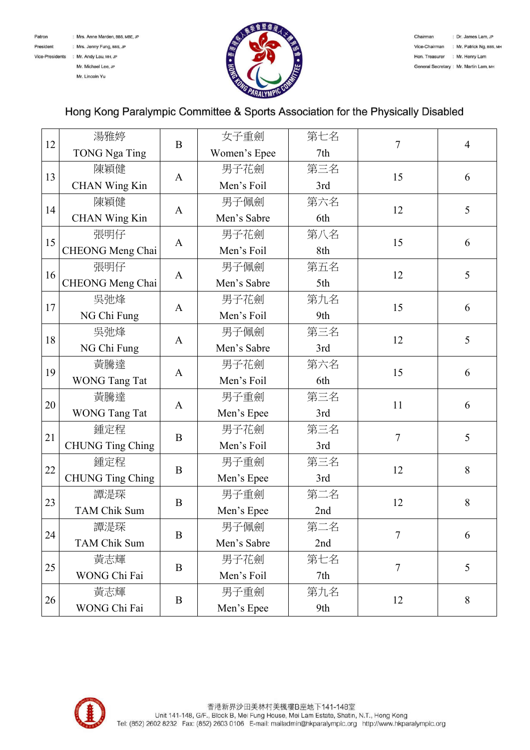

Mr. Lincoln Yu



## Hong Kong Paralympic Committee & Sports Association for the Physically Disabled

|    | 湯雅婷                     |              | 女子重劍         | 第七名 |                |                |
|----|-------------------------|--------------|--------------|-----|----------------|----------------|
| 12 | <b>TONG Nga Ting</b>    | $\bf{B}$     | Women's Epee | 7th | 7              | $\overline{4}$ |
|    |                         |              |              |     |                |                |
| 13 | 陳穎健                     | $\mathbf{A}$ | 男子花劍         | 第三名 | 15             | 6              |
|    | CHAN Wing Kin           |              | Men's Foil   | 3rd |                |                |
| 14 | 陳穎健                     | A            | 男子佩劍         | 第六名 | 12             | 5              |
|    | CHAN Wing Kin           |              | Men's Sabre  | 6th |                |                |
| 15 | 張明仔                     | $\mathbf{A}$ | 男子花劍         | 第八名 | 15             | 6              |
|    | CHEONG Meng Chai        |              | Men's Foil   | 8th |                |                |
|    | 張明仔                     | $\mathbf{A}$ | 男子佩劍         | 第五名 | 12             | 5              |
| 16 | CHEONG Meng Chai        |              | Men's Sabre  | 5th |                |                |
| 17 | 吳弛烽                     | $\mathbf{A}$ | 男子花劍         | 第九名 | 15             | 6              |
|    | NG Chi Fung             |              | Men's Foil   | 9th |                |                |
|    | 吳弛烽                     |              | 男子佩劍         | 第三名 | 12             | 5              |
| 18 | NG Chi Fung             | $\mathbf{A}$ | Men's Sabre  | 3rd |                |                |
| 19 | 黃騰達                     | $\mathbf{A}$ | 男子花劍         | 第六名 | 15             | 6              |
|    | <b>WONG Tang Tat</b>    |              | Men's Foil   | 6th |                |                |
| 20 | 黃騰達                     | $\mathbf{A}$ | 男子重劍         | 第三名 | 11             | 6              |
|    | <b>WONG Tang Tat</b>    |              | Men's Epee   | 3rd |                |                |
|    | 鍾定程                     | $\bf{B}$     | 男子花劍         | 第三名 | $\overline{7}$ | 5              |
| 21 | <b>CHUNG Ting Ching</b> |              | Men's Foil   | 3rd |                |                |
|    | 鍾定程                     | B            | 男子重劍         | 第三名 | 12             | 8              |
| 22 | <b>CHUNG Ting Ching</b> |              | Men's Epee   | 3rd |                |                |
|    | 譚湜琛                     | B            | 男子重劍         | 第二名 | 12             | 8              |
| 23 | <b>TAM Chik Sum</b>     |              | Men's Epee   | 2nd |                |                |
| 24 | 譚湜琛                     | B            | 男子佩劍         | 第二名 | 7              | 6              |
|    | <b>TAM Chik Sum</b>     |              | Men's Sabre  | 2nd |                |                |
| 25 | 黃志輝                     | B            | 男子花劍         | 第七名 | $\overline{7}$ | 5              |
|    | WONG Chi Fai            |              | Men's Foil   | 7th |                |                |
| 26 | 黃志輝                     | B            | 男子重劍         | 第九名 | 12             | 8              |
|    | WONG Chi Fai            |              | Men's Epee   | 9th |                |                |